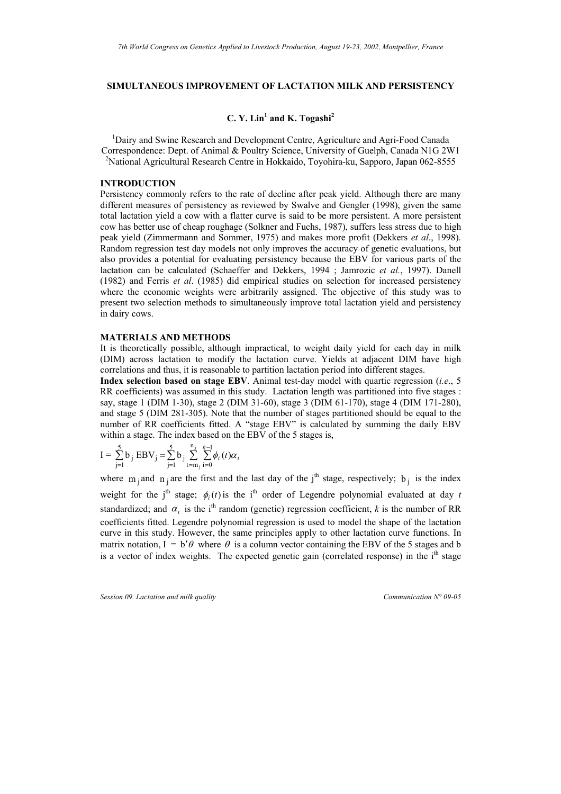# **SIMULTANEOUS IMPROVEMENT OF LACTATION MILK AND PERSISTENCY**

# **C. Y. Lin1 and K. Togashi2**

<sup>1</sup> Dairy and Swine Research and Development Centre, Agriculture and Agri-Food Canada<sup>1</sup> Correspondence: Dept. of Animal & Poultry Science, University of Guelph, Canada N1G 2W1 2 <sup>2</sup>National Agricultural Research Centre in Hokkaido, Toyohira-ku, Sapporo, Japan 062-8555

## **INTRODUCTION**

Persistency commonly refers to the rate of decline after peak yield. Although there are many different measures of persistency as reviewed by Swalve and Gengler (1998), given the same total lactation yield a cow with a flatter curve is said to be more persistent. A more persistent cow has better use of cheap roughage (Solkner and Fuchs, 1987), suffers less stress due to high peak yield (Zimmermann and Sommer, 1975) and makes more profit (Dekkers *et al*., 1998). Random regression test day models not only improves the accuracy of genetic evaluations, but also provides a potential for evaluating persistency because the EBV for various parts of the lactation can be calculated (Schaeffer and Dekkers, 1994 ; Jamrozic *et al.*, 1997). Danell (1982) and Ferris *et al*. (1985) did empirical studies on selection for increased persistency where the economic weights were arbitrarily assigned. The objective of this study was to present two selection methods to simultaneously improve total lactation yield and persistency in dairy cows.

### **MATERIALS AND METHODS**

It is theoretically possible, although impractical, to weight daily yield for each day in milk (DIM) across lactation to modify the lactation curve. Yields at adjacent DIM have high correlations and thus, it is reasonable to partition lactation period into different stages.

**Index selection based on stage EBV**. Animal test-day model with quartic regression (*i.e*., 5 RR coefficients) was assumed in this study. Lactation length was partitioned into five stages : say, stage 1 (DIM 1-30), stage 2 (DIM 31-60), stage 3 (DIM 61-170), stage 4 (DIM 171-280), and stage 5 (DIM 281-305). Note that the number of stages partitioned should be equal to the number of RR coefficients fitted. A "stage EBV" is calculated by summing the daily EBV within a stage. The index based on the EBV of the 5 stages is,

$$
I = \sum_{j=1}^{5} b_j \ EBV_j = \sum_{j=1}^{5} b_j \sum_{t=m_j}^{n_j} \sum_{i=0}^{k-1} \phi_i(t) \alpha_i
$$

where  $m_j$  and  $n_j$  are the first and the last day of the j<sup>th</sup> stage, respectively; b<sub>j</sub> is the index weight for the j<sup>th</sup> stage;  $\phi_i(t)$  is the i<sup>th</sup> order of Legendre polynomial evaluated at day *t* standardized; and  $\alpha_i$  is the i<sup>th</sup> random (genetic) regression coefficient, *k* is the number of RR coefficients fitted. Legendre polynomial regression is used to model the shape of the lactation curve in this study. However, the same principles apply to other lactation curve functions. In matrix notation,  $I = b'\theta$  where  $\theta$  is a column vector containing the EBV of the 5 stages and b is a vector of index weights. The expected genetic gain (correlated response) in the  $i<sup>th</sup>$  stage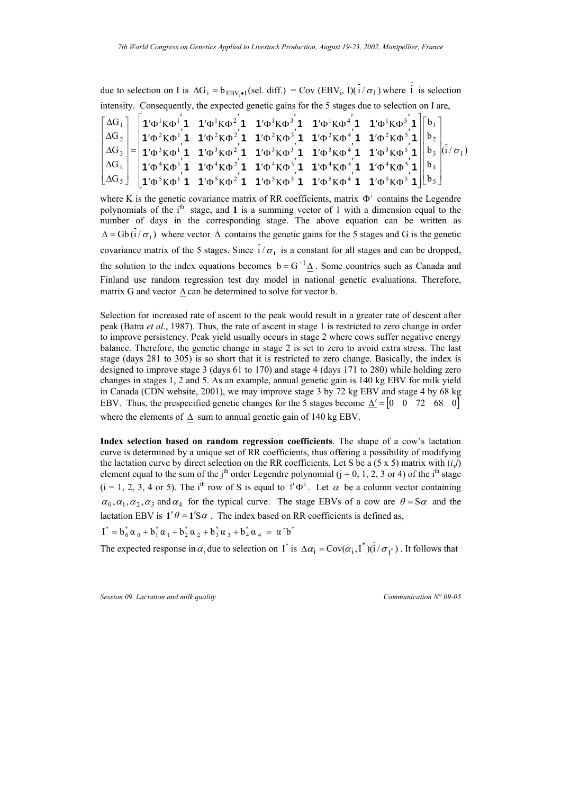due to selection on I is  $\Delta G_i = b_{FBV \bullet i}$  (sel. diff.) = Cov (EBV<sub>i</sub>, I)( $i / \sigma_i$ ) where i is selection intensity. Consequently, the expected genetic gains for the 5 stages due to selection on I are,

|  |  |  | $\lceil \Delta G_1 \rceil$ $\lceil \pmb{1}' \Phi^1 K \Phi^1 \pmb{1} \pmb{1}' \Phi^1 K \Phi^2 \pmb{1} \pmb{1}' \Phi^1 K \Phi^3 \pmb{1} \pmb{1}' \Phi^1 K \Phi^4 \pmb{1} \pmb{1}' \Phi^1 K \Phi^5 \pmb{1} \rceil \lceil b_1 \rceil$                                    |  |
|--|--|--|----------------------------------------------------------------------------------------------------------------------------------------------------------------------------------------------------------------------------------------------------------------------|--|
|  |  |  | $ \Delta G_2 $ $ 1'\Phi^2 K \Phi^1 $ 1 $1'\Phi^2 K \Phi^2$ 1 $1'\Phi^2 K \Phi^3$ 1 $1'\Phi^2 K \Phi^4$ 1 $1'\Phi^2 K \Phi^5$ 1 $  b_2  $                                                                                                                             |  |
|  |  |  | $ \Delta G_3  =  \mathbf{1}' \Phi^3 K \Phi^1 \mathbf{1} \mathbf{1}' \Phi^3 K \Phi^2 \mathbf{1} \mathbf{1}' \Phi^3 K \Phi^3 \mathbf{1} \mathbf{1}' \Phi^3 K \Phi^4 \mathbf{1} \mathbf{1}' \Phi^3 K \Phi^5 \mathbf{1}   b_3   \tilde{d} / \sigma_1$                    |  |
|  |  |  | $ \Delta G_4 $   $ {\bf 1}' \Phi^4 K \Phi^1 {\bf 1}$ 1' $\Phi^4 K \Phi^2 {\bf 1}$ 1' $\Phi^4 K \Phi^3 {\bf 1}$ 1' $\Phi^4 K \Phi^4 {\bf 1}$ 1' $\Phi^4 K \Phi^5 {\bf 1}    b_4$                                                                                      |  |
|  |  |  | $\lfloor \Delta G_5 \rfloor$ $\lfloor \mathbf{1}'\Phi^5 K \Phi^1 \mathbf{1} \mathbf{1}' \Phi^5 K \Phi^2 \mathbf{1} \mathbf{1}' \Phi^5 K \Phi^3 \mathbf{1} \mathbf{1}' \Phi^5 K \Phi^4 \mathbf{1} \mathbf{1}' \Phi^5 K \Phi^5 \mathbf{1} \rfloor \lfloor b_5 \rfloor$ |  |

 $\Delta =$  Gb (i /  $\sigma_1$ ) where vector  $\Delta$  contains the genetic gains for the 5 stages and G is the genetic covariance matrix of the 5 stages. Since  $i/\sigma_1$  is a constant for all stages and can be dropped, where K is the genetic covariance matrix of RR coefficients, matrix  $\Phi^i$  contains the Legendre polynomials of the  $i<sup>th</sup>$  stage, and **1** is a summing vector of 1 with a dimension equal to the number of days in the corresponding stage. The above equation can be written as the solution to the index equations becomes  $b = G^{-1} \Delta$ . Some countries such as Canada and Finland use random regression test day model in national genetic evaluations. Therefore, matrix G and vector ∆ can be determined to solve for vector b.

Selection for increased rate of ascent to the peak would result in a greater rate of descent after peak (Batra *et al*., 1987). Thus, the rate of ascent in stage 1 is restricted to zero change in order to improve persistency. Peak yield usually occurs in stage 2 where cows suffer negative energy balance. Therefore, the genetic change in stage 2 is set to zero to avoid extra stress. The last stage (days 281 to 305) is so short that it is restricted to zero change. Basically, the index is designed to improve stage 3 (days 61 to 170) and stage 4 (days 171 to 280) while holding zero changes in stages 1, 2 and 5. As an example, annual genetic gain is 140 kg EBV for milk yield in Canada (CDN website, 2001), we may improve stage 3 by 72 kg EBV and stage 4 by 68 kg EBV. Thus, the prespecified genetic changes for the 5 stages become  $\Delta' = \begin{bmatrix} 0 & 0 & 72 & 68 & 0 \end{bmatrix}$ where the elements of ∆ sum to annual genetic gain of 140 kg EBV.

**Index selection based on random regression coefficients**. The shape of a cow's lactation curve is determined by a unique set of RR coefficients, thus offering a possibility of modifying the lactation curve by direct selection on the RR coefficients. Let S be a  $(5 \times 5)$  matrix with  $(i,j)$ element equal to the sum of the j<sup>th</sup> order Legendre polynomial ( $j = 0, 1, 2, 3$  or 4) of the i<sup>th</sup> stage  $(i = 1, 2, 3, 4 \text{ or } 5)$ . The i<sup>th</sup> row of S is equal to 1' $\Phi^i$ . Let  $\alpha$  be a column vector containing  $\alpha_0, \alpha_1, \alpha_2, \alpha_3$  and  $\alpha_4$  for the typical curve. The stage EBVs of a cow are  $\theta = S\alpha$  and the lactation EBV is  $1'\theta = 1'S\alpha$ . The index based on RR coefficients is defined as,

 $I^* = b_0^* \alpha_0 + b_1^* \alpha_1 + b_2^* \alpha_2 + b_3^* \alpha_3 + b_4^* \alpha_4 = \alpha' b^*$ 

The expected response in  $\alpha_i$  due to selection on I<sup>\*</sup> is  $\Delta \alpha_i = \text{Cov}(\alpha_i, I^*) (\bar{i} / \sigma_{I^*})$ . It follows that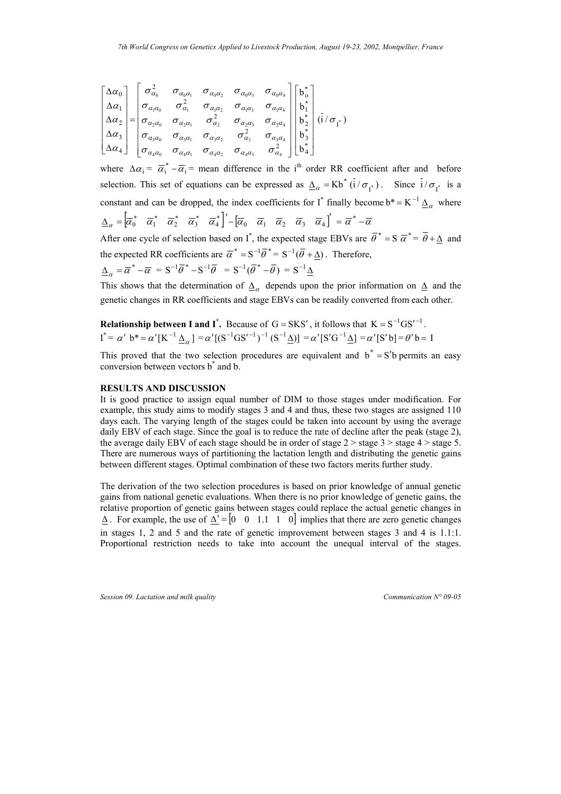$$
\begin{bmatrix}\n\Delta\alpha_0 \\
\Delta\alpha_1 \\
\Delta\alpha_2 \\
\Delta\alpha_3 \\
\Delta\alpha_4\n\end{bmatrix} = \begin{bmatrix}\n\sigma_{\alpha_0}^2 & \sigma_{\alpha_0\alpha_1} & \sigma_{\alpha_0\alpha_2} & \sigma_{\alpha_0\alpha_3} & \sigma_{\alpha_0\alpha_4} \\
\sigma_{\alpha_1\alpha_0} & \sigma_{\alpha_1}^2 & \sigma_{\alpha_1\alpha_2} & \sigma_{\alpha_1\alpha_3} & \sigma_{\alpha_1\alpha_4} \\
\sigma_{\alpha_2\alpha_0} & \sigma_{\alpha_2\alpha_1} & \sigma_{\alpha_2}^2 & \sigma_{\alpha_2\alpha_3} & \sigma_{\alpha_2\alpha_4} \\
\sigma_{\alpha_3\alpha_0} & \sigma_{\alpha_3\alpha_1} & \sigma_{\alpha_3\alpha_2} & \sigma_{\alpha_3}^2 & \sigma_{\alpha_3\alpha_4} \\
\sigma_{\alpha_4\alpha_0} & \sigma_{\alpha_4\alpha_1} & \sigma_{\alpha_4\alpha_2} & \sigma_{\alpha_4\alpha_3} & \sigma_{\alpha_4}^2\n\end{bmatrix} \begin{bmatrix}\nb_0^* \\
b_1^* \\
b_2^* \\
b_3^* \\
b_4^*\n\end{bmatrix} (\vec{i}/\sigma_{\vec{i}})
$$

where  $\Delta \alpha_i = \overline{\alpha_i^*} - \overline{\alpha_i}$  mean difference in the i<sup>th</sup> order RR coefficient after and before selection. This set of equations can be expressed as  $\Delta_{\alpha} = Kb^* (\bar{i} / \sigma_{I^*})$ . Since  $\bar{i} / \sigma_{I^*}$  is a constant and can be dropped, the index coefficients for I<sup>\*</sup> finally become  $b^* = K^{-1} \Delta_{\alpha}$  where  $\underline{\Delta}_{\alpha}=\begin{bmatrix} \overline{\alpha}_0^* & \overline{\alpha}_1^* & \overline{\alpha}_2^* & \overline{\alpha}_3^* & \overline{\alpha}_4^* \end{bmatrix}' - \begin{bmatrix} \overline{\alpha}_0 & \overline{\alpha}_1 & \overline{\alpha}_2 & \overline{\alpha}_3 & \overline{\alpha}_4 \end{bmatrix}' = \overline{\alpha}^* - \overline{\alpha}$ 

After one cycle of selection based on I<sup>\*</sup>, the expected stage EBVs are  $\overline{\theta}^* = S \overline{\alpha}^* = \overline{\theta} + \Delta$  and the expected RR coefficients are  $\overline{\alpha}^* = S^{-1} \overline{\theta}^* = S^{-1} (\overline{\theta} + \Delta)$ . Therefore,

$$
\underline{\Delta}_{\alpha} = \overline{\alpha}^* - \overline{\alpha} = S^{-1}\overline{\theta}^* - S^{-1}\overline{\theta} = S^{-1}(\overline{\theta}^* - \overline{\theta}) = S^{-1}\underline{\Delta}
$$

This shows that the determination of  $\Delta_{\alpha}$  depends upon the prior information on  $\Delta$  and the genetic changes in RR coefficients and stage EBVs can be readily converted from each other.

**Relationship between I and I<sup>\*</sup>.** Because of G = SKS', it follows that 
$$
K = S^{-1}GS^{-1}
$$
.  
\n $I^* = \alpha' b^* = \alpha'[K^{-1} \underline{\Delta}_\alpha] = \alpha'[(S^{-1}GS^{-1})^{-1} (S^{-1} \underline{\Delta})] = \alpha'[S'G^{-1} \underline{\Delta}] = \alpha'[S'b] = \theta'b = I$ 

This proved that the two selection procedures are equivalent and  $b^* = S'b$  permits an easy conversion between vectors b\* and b.

#### **RESULTS AND DISCUSSION**

It is good practice to assign equal number of DIM to those stages under modification. For example, this study aims to modify stages 3 and 4 and thus, these two stages are assigned 110 days each. The varying length of the stages could be taken into account by using the average daily EBV of each stage. Since the goal is to reduce the rate of decline after the peak (stage 2), the average daily EBV of each stage should be in order of stage  $2 >$  stage  $3 >$  stage  $4 >$  stage 5. There are numerous ways of partitioning the lactation length and distributing the genetic gains between different stages. Optimal combination of these two factors merits further study.

The derivation of the two selection procedures is based on prior knowledge of annual genetic gains from national genetic evaluations. When there is no prior knowledge of genetic gains, the relative proportion of genetic gains between stages could replace the actual genetic changes in  $\Delta$ . For example, the use of  $\Delta' = \begin{bmatrix} 0 & 0 & 1.1 & 1 & 0 \end{bmatrix}$  implies that there are zero genetic changes in stages 1, 2 and 5 and the rate of genetic improvement between stages 3 and 4 is 1.1:1. Proportional restriction needs to take into account the unequal interval of the stages.